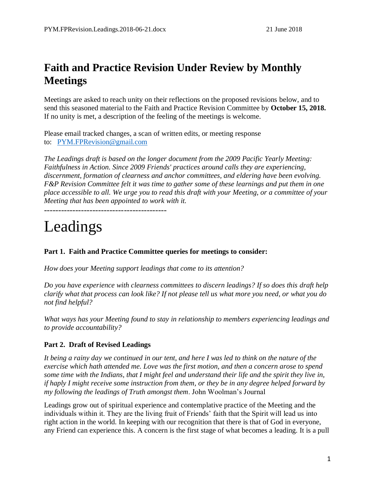# **Faith and Practice Revision Under Review by Monthly Meetings**

Meetings are asked to reach unity on their reflections on the proposed revisions below, and to send this seasoned material to the Faith and Practice Revision Committee by **October 15, 2018.** If no unity is met, a description of the feeling of the meetings is welcome.

Please email tracked changes, a scan of written edits, or meeting response to: [PYM.FPRevision@gmail.com](mailto:PYM.FPRC@gmail.com)

*The Leadings draft is based on the longer document from the 2009 Pacific Yearly Meeting: Faithfulness in Action. Since 2009 Friends' practices around calls they are experiencing, discernment, formation of clearness and anchor committees, and eldering have been evolving. F&P Revision Committee felt it was time to gather some of these learnings and put them in one place accessible to all. We urge you to read this draft with your Meeting, or a committee of your Meeting that has been appointed to work with it.*

-------------------------------------------

# Leadings

# **Part 1. Faith and Practice Committee queries for meetings to consider:**

*How does your Meeting support leadings that come to its attention?*

*Do you have experience with clearness committees to discern leadings? If so does this draft help clarify what that process can look like? If not please tell us what more you need, or what you do not find helpful?*

*What ways has your Meeting found to stay in relationship to members experiencing leadings and to provide accountability?*

# **Part 2. Draft of Revised Leadings**

*It being a rainy day we continued in our tent, and here I was led to think on the nature of the exercise which hath attended me. Love was the first motion, and then a concern arose to spend some time with the Indians, that I might feel and understand their life and the spirit they live in, if haply I might receive some instruction from them, or they be in any degree helped forward by my following the leadings of Truth amongst them*. John Woolman's Journal

Leadings grow out of spiritual experience and contemplative practice of the Meeting and the individuals within it. They are the living fruit of Friends' faith that the Spirit will lead us into right action in the world. In keeping with our recognition that there is that of God in everyone, any Friend can experience this. A concern is the first stage of what becomes a leading. It is a pull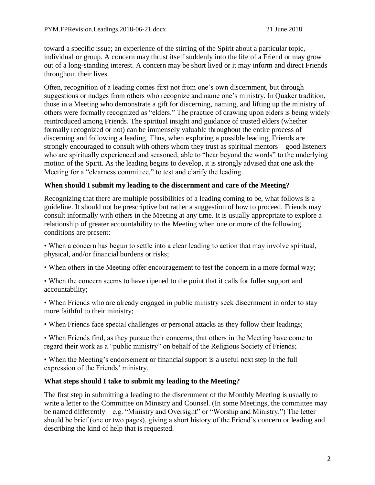toward a specific issue; an experience of the stirring of the Spirit about a particular topic, individual or group. A concern may thrust itself suddenly into the life of a Friend or may grow out of a long-standing interest. A concern may be short lived or it may inform and direct Friends throughout their lives.

Often, recognition of a leading comes first not from one's own discernment, but through suggestions or nudges from others who recognize and name one's ministry. In Quaker tradition, those in a Meeting who demonstrate a gift for discerning, naming, and lifting up the ministry of others were formally recognized as "elders." The practice of drawing upon elders is being widely reintroduced among Friends. The spiritual insight and guidance of trusted elders (whether formally recognized or not) can be immensely valuable throughout the entire process of discerning and following a leading. Thus, when exploring a possible leading, Friends are strongly encouraged to consult with others whom they trust as spiritual mentors—good listeners who are spiritually experienced and seasoned, able to "hear beyond the words" to the underlying motion of the Spirit. As the leading begins to develop, it is strongly advised that one ask the Meeting for a "clearness committee," to test and clarify the leading.

# **When should I submit my leading to the discernment and care of the Meeting?**

Recognizing that there are multiple possibilities of a leading coming to be, what follows is a guideline. It should not be prescriptive but rather a suggestion of how to proceed. Friends may consult informally with others in the Meeting at any time. It is usually appropriate to explore a relationship of greater accountability to the Meeting when one or more of the following conditions are present:

• When a concern has begun to settle into a clear leading to action that may involve spiritual, physical, and/or financial burdens or risks;

- When others in the Meeting offer encouragement to test the concern in a more formal way;
- When the concern seems to have ripened to the point that it calls for fuller support and accountability;
- When Friends who are already engaged in public ministry seek discernment in order to stay more faithful to their ministry;
- When Friends face special challenges or personal attacks as they follow their leadings;
- When Friends find, as they pursue their concerns, that others in the Meeting have come to regard their work as a "public ministry" on behalf of the Religious Society of Friends;

• When the Meeting's endorsement or financial support is a useful next step in the full expression of the Friends' ministry.

# **What steps should I take to submit my leading to the Meeting?**

The first step in submitting a leading to the discernment of the Monthly Meeting is usually to write a letter to the Committee on Ministry and Counsel. (In some Meetings, the committee may be named differently—e.g. "Ministry and Oversight" or "Worship and Ministry.") The letter should be brief (one or two pages), giving a short history of the Friend's concern or leading and describing the kind of help that is requested.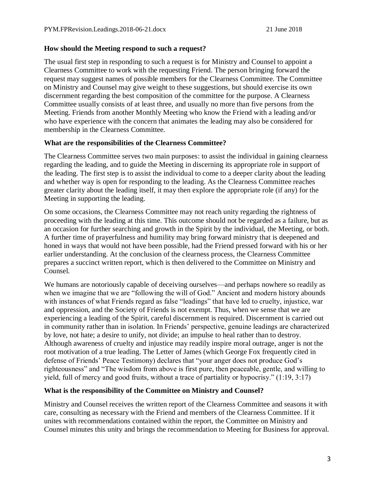#### **How should the Meeting respond to such a request?**

The usual first step in responding to such a request is for Ministry and Counsel to appoint a Clearness Committee to work with the requesting Friend. The person bringing forward the request may suggest names of possible members for the Clearness Committee. The Committee on Ministry and Counsel may give weight to these suggestions, but should exercise its own discernment regarding the best composition of the committee for the purpose. A Clearness Committee usually consists of at least three, and usually no more than five persons from the Meeting. Friends from another Monthly Meeting who know the Friend with a leading and/or who have experience with the concern that animates the leading may also be considered for membership in the Clearness Committee.

#### **What are the responsibilities of the Clearness Committee?**

The Clearness Committee serves two main purposes: to assist the individual in gaining clearness regarding the leading, and to guide the Meeting in discerning its appropriate role in support of the leading. The first step is to assist the individual to come to a deeper clarity about the leading and whether way is open for responding to the leading. As the Clearness Committee reaches greater clarity about the leading itself, it may then explore the appropriate role (if any) for the Meeting in supporting the leading.

On some occasions, the Clearness Committee may not reach unity regarding the rightness of proceeding with the leading at this time. This outcome should not be regarded as a failure, but as an occasion for further searching and growth in the Spirit by the individual, the Meeting, or both. A further time of prayerfulness and humility may bring forward ministry that is deepened and honed in ways that would not have been possible, had the Friend pressed forward with his or her earlier understanding. At the conclusion of the clearness process, the Clearness Committee prepares a succinct written report, which is then delivered to the Committee on Ministry and Counsel.

We humans are notoriously capable of deceiving ourselves—and perhaps nowhere so readily as when we imagine that we are "following the will of God." Ancient and modern history abounds with instances of what Friends regard as false "leadings" that have led to cruelty, injustice, war and oppression, and the Society of Friends is not exempt. Thus, when we sense that we are experiencing a leading of the Spirit, careful discernment is required. Discernment is carried out in community rather than in isolation. In Friends' perspective, genuine leadings are characterized by love, not hate; a desire to unify, not divide; an impulse to heal rather than to destroy. Although awareness of cruelty and injustice may readily inspire moral outrage, anger is not the root motivation of a true leading. The Letter of James (which George Fox frequently cited in defense of Friends' Peace Testimony) declares that "your anger does not produce God's righteousness" and "The wisdom from above is first pure, then peaceable, gentle, and willing to yield, full of mercy and good fruits, without a trace of partiality or hypocrisy." (1:19, 3:17)

# **What is the responsibility of the Committee on Ministry and Counsel?**

Ministry and Counsel receives the written report of the Clearness Committee and seasons it with care, consulting as necessary with the Friend and members of the Clearness Committee. If it unites with recommendations contained within the report, the Committee on Ministry and Counsel minutes this unity and brings the recommendation to Meeting for Business for approval.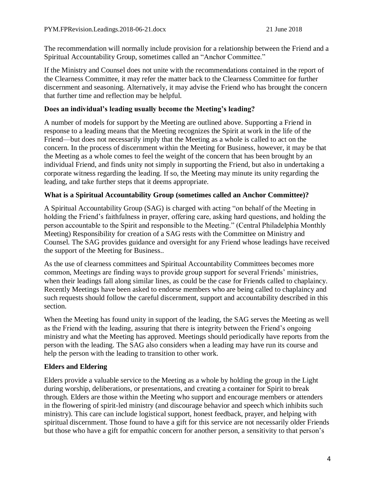The recommendation will normally include provision for a relationship between the Friend and a Spiritual Accountability Group, sometimes called an "Anchor Committee."

If the Ministry and Counsel does not unite with the recommendations contained in the report of the Clearness Committee, it may refer the matter back to the Clearness Committee for further discernment and seasoning. Alternatively, it may advise the Friend who has brought the concern that further time and reflection may be helpful.

#### **Does an individual's leading usually become the Meeting's leading?**

A number of models for support by the Meeting are outlined above. Supporting a Friend in response to a leading means that the Meeting recognizes the Spirit at work in the life of the Friend—but does not necessarily imply that the Meeting as a whole is called to act on the concern. In the process of discernment within the Meeting for Business, however, it may be that the Meeting as a whole comes to feel the weight of the concern that has been brought by an individual Friend, and finds unity not simply in supporting the Friend, but also in undertaking a corporate witness regarding the leading. If so, the Meeting may minute its unity regarding the leading, and take further steps that it deems appropriate.

#### **What is a Spiritual Accountability Group (sometimes called an Anchor Committee)?**

A Spiritual Accountability Group (SAG) is charged with acting "on behalf of the Meeting in holding the Friend's faithfulness in prayer, offering care, asking hard questions, and holding the person accountable to the Spirit and responsible to the Meeting." (Central Philadelphia Monthly Meeting) Responsibility for creation of a SAG rests with the Committee on Ministry and Counsel. The SAG provides guidance and oversight for any Friend whose leadings have received the support of the Meeting for Business..

As the use of clearness committees and Spiritual Accountability Committees becomes more common, Meetings are finding ways to provide group support for several Friends' ministries, when their leadings fall along similar lines, as could be the case for Friends called to chaplaincy. Recently Meetings have been asked to endorse members who are being called to chaplaincy and such requests should follow the careful discernment, support and accountability described in this section.

When the Meeting has found unity in support of the leading, the SAG serves the Meeting as well as the Friend with the leading, assuring that there is integrity between the Friend's ongoing ministry and what the Meeting has approved. Meetings should periodically have reports from the person with the leading. The SAG also considers when a leading may have run its course and help the person with the leading to transition to other work.

# **Elders and Eldering**

Elders provide a valuable service to the Meeting as a whole by holding the group in the Light during worship, deliberations, or presentations, and creating a container for Spirit to break through. Elders are those within the Meeting who support and encourage members or attenders in the flowering of spirit-led ministry (and discourage behavior and speech which inhibits such ministry). This care can include logistical support, honest feedback, prayer, and helping with spiritual discernment. Those found to have a gift for this service are not necessarily older Friends but those who have a gift for empathic concern for another person, a sensitivity to that person's